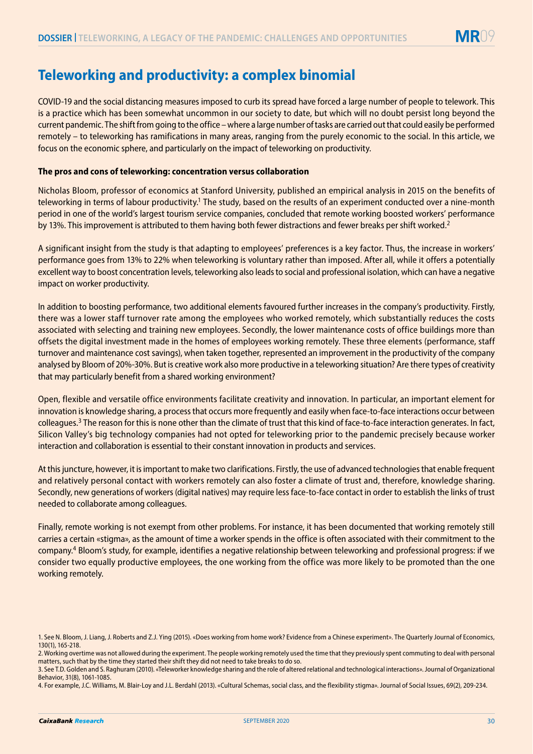## **Teleworking and productivity: a complex binomial**

COVID-19 and the social distancing measures imposed to curb its spread have forced a large number of people to telework. This is a practice which has been somewhat uncommon in our society to date, but which will no doubt persist long beyond the current pandemic. The shift from going to the office – where a large number of tasks are carried out that could easily be performed remotely – to teleworking has ramifications in many areas, ranging from the purely economic to the social. In this article, we focus on the economic sphere, and particularly on the impact of teleworking on productivity.

## **The pros and cons of teleworking: concentration versus collaboration**

Nicholas Bloom, professor of economics at Stanford University, published an empirical analysis in 2015 on the benefits of teleworking in terms of labour productivity.<sup>1</sup> The study, based on the results of an experiment conducted over a nine-month period in one of the world's largest tourism service companies, concluded that remote working boosted workers' performance by 13%. This improvement is attributed to them having both fewer distractions and fewer breaks per shift worked.<sup>2</sup>

A significant insight from the study is that adapting to employees' preferences is a key factor. Thus, the increase in workers' performance goes from 13% to 22% when teleworking is voluntary rather than imposed. After all, while it offers a potentially excellent way to boost concentration levels, teleworking also leads to social and professional isolation, which can have a negative impact on worker productivity.

In addition to boosting performance, two additional elements favoured further increases in the company's productivity. Firstly, there was a lower staff turnover rate among the employees who worked remotely, which substantially reduces the costs associated with selecting and training new employees. Secondly, the lower maintenance costs of office buildings more than offsets the digital investment made in the homes of employees working remotely. These three elements (performance, staff turnover and maintenance cost savings), when taken together, represented an improvement in the productivity of the company analysed by Bloom of 20%-30%. But is creative work also more productive in a teleworking situation? Are there types of creativity that may particularly benefit from a shared working environment?

Open, flexible and versatile office environments facilitate creativity and innovation. In particular, an important element for innovation is knowledge sharing, a process that occurs more frequently and easily when face-to-face interactions occur between colleagues.<sup>3</sup> The reason for this is none other than the climate of trust that this kind of face-to-face interaction generates. In fact, Silicon Valley's big technology companies had not opted for teleworking prior to the pandemic precisely because worker interaction and collaboration is essential to their constant innovation in products and services.

At this juncture, however, it is important to make two clarifications. Firstly, the use of advanced technologies that enable frequent and relatively personal contact with workers remotely can also foster a climate of trust and, therefore, knowledge sharing. Secondly, new generations of workers (digital natives) may require less face-to-face contact in order to establish the links of trust needed to collaborate among colleagues.

Finally, remote working is not exempt from other problems. For instance, it has been documented that working remotely still carries a certain «stigma», as the amount of time a worker spends in the office is often associated with their commitment to the company.4 Bloom's study, for example, identifies a negative relationship between teleworking and professional progress: if we consider two equally productive employees, the one working from the office was more likely to be promoted than the one working remotely.

<sup>1.</sup> See N. Bloom, J. Liang, J. Roberts and Z.J. Ying (2015). «Does working from home work? Evidence from a Chinese experiment». The Quarterly Journal of Economics, 130(1), 165-218.

<sup>2.</sup> Working overtime was not allowed during the experiment. The people working remotely used the time that they previously spent commuting to deal with personal matters, such that by the time they started their shift they did not need to take breaks to do so.

<sup>3.</sup> See T.D. Golden and S. Raghuram (2010). «Teleworker knowledge sharing and the role of altered relational and technological interactions». Journal of Organizational Behavior, 31(8), 1061-1085.

<sup>4.</sup> For example, J.C. Williams, M. Blair-Loy and J.L. Berdahl (2013). «Cultural Schemas, social class, and the flexibility stigma». Journal of Social Issues, 69(2), 209-234.